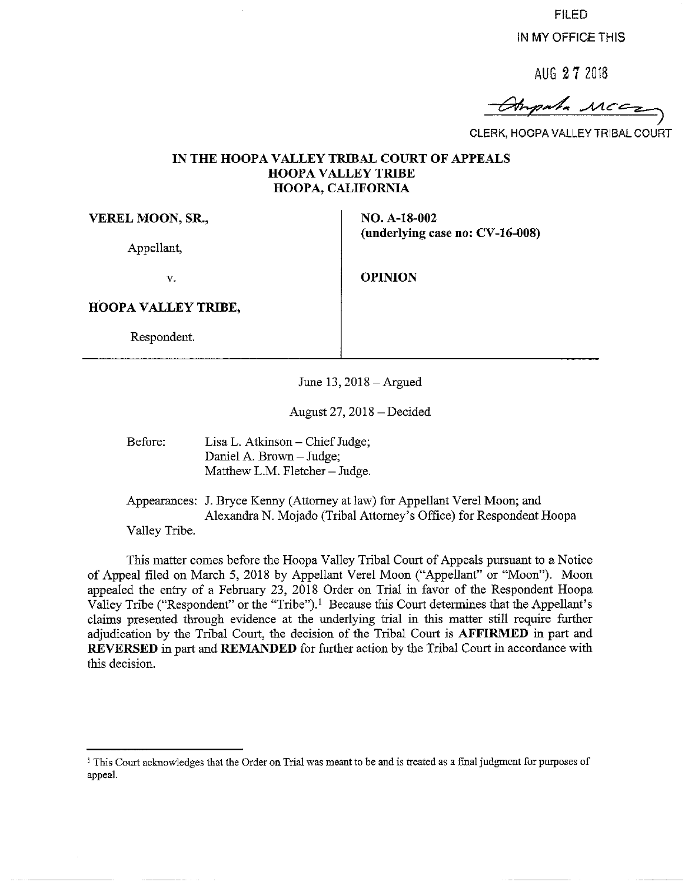FILED

IN MY OFFICE THIS

AUG 2 **7** <sup>2018</sup>

 $m_{p}$  . MCC

CLERK, HOOPA VALLEY TRIBAL COURT

#### **IN THE HOOPA VALLEY TRIBAL COURT OF APPEALS HOOPA VALLEY TRIBE HOOPA, CALIFORNIA**

**VEREL MOON, SR.,** 

Appellant,

V. **OPINION** 

**(underlying case no: CV-16-008)** 

**NO. A-18-002** 

**HOOPA VALLEY TRIBE,** 

Respondent.

June 13,2018-Argued

August 27, 2018-Decided

Before: Lisa L. Atkinson - Chief Judge; Daniel A. Brown - Judge; Matthew L.M. Fletcher - Judge.

Appearances: J. Bryce Kenny (Attorney at law) for Appellant Verel Moon; and Alexandra N. Mojado (Tribal Attorney's Office) for Respondent Hoopa Valley Tribe.

This matter comes before the Hoopa Valley Tribal Court of Appeals pursuant to a Notice of Appeal filed on March 5, 2018 by Appellant Vere! Moon ("Appellant" or "Moon"). Moon appealed the entry of a February 23, 2018 Order on Trial in favor of the Respondent Hoopa Valley Tribe ("Respondent" or the "Tribe").<sup>1</sup> Because this Court determines that the Appellant's claims presented through evidence at the underlying trial in this matter still require further adjudication by the Tribal Court, the decision of the Tribal Court is **AFFIRMED** in part and **REVERSED** in part and **REMANDED** for further action by the Tribal Court in accordance with this decision.

<sup>1</sup> This Court acknowledges that the Order on Trial was meant to be and is treated as a final judgment for purposes of appeal.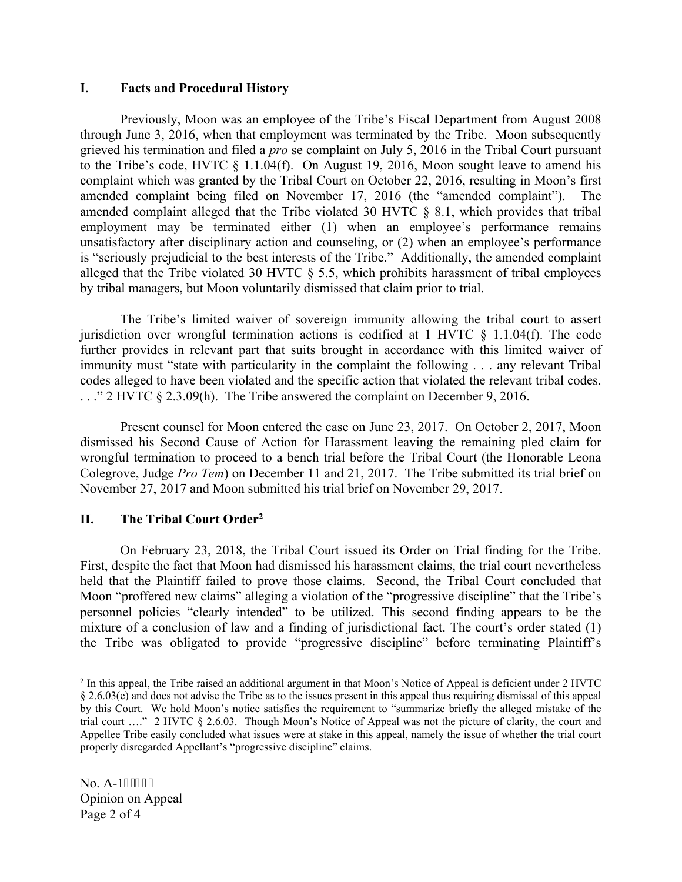## **I. Facts and Procedural History**

Previously, Moon was an employee of the Tribe's Fiscal Department from August 2008 through June 3, 2016, when that employment was terminated by the Tribe. Moon subsequently grieved his termination and filed a *pro* se complaint on July 5, 2016 in the Tribal Court pursuant to the Tribe's code, HVTC § 1.1.04(f). On August 19, 2016, Moon sought leave to amend his complaint which was granted by the Tribal Court on October 22, 2016, resulting in Moon's first amended complaint being filed on November 17, 2016 (the "amended complaint"). The amended complaint alleged that the Tribe violated 30 HVTC § 8.1, which provides that tribal employment may be terminated either (1) when an employee's performance remains unsatisfactory after disciplinary action and counseling, or (2) when an employee's performance is "seriously prejudicial to the best interests of the Tribe." Additionally, the amended complaint alleged that the Tribe violated 30 HVTC § 5.5, which prohibits harassment of tribal employees by tribal managers, but Moon voluntarily dismissed that claim prior to trial.

The Tribe's limited waiver of sovereign immunity allowing the tribal court to assert jurisdiction over wrongful termination actions is codified at 1 HVTC  $\S$  1.1.04(f). The code further provides in relevant part that suits brought in accordance with this limited waiver of immunity must "state with particularity in the complaint the following . . . any relevant Tribal codes alleged to have been violated and the specific action that violated the relevant tribal codes. . . ." 2 HVTC § 2.3.09(h). The Tribe answered the complaint on December 9, 2016.

Present counsel for Moon entered the case on June 23, 2017. On October 2, 2017, Moon dismissed his Second Cause of Action for Harassment leaving the remaining pled claim for wrongful termination to proceed to a bench trial before the Tribal Court (the Honorable Leona Colegrove, Judge *Pro Tem*) on December 11 and 21, 2017. The Tribe submitted its trial brief on November 27, 2017 and Moon submitted his trial brief on November 29, 2017.

# **II. The Tribal Court Order<sup>2</sup>**

On February 23, 2018, the Tribal Court issued its Order on Trial finding for the Tribe. First, despite the fact that Moon had dismissed his harassment claims, the trial court nevertheless held that the Plaintiff failed to prove those claims. Second, the Tribal Court concluded that Moon "proffered new claims" alleging a violation of the "progressive discipline" that the Tribe's personnel policies "clearly intended" to be utilized. This second finding appears to be the mixture of a conclusion of law and a finding of jurisdictional fact. The court's order stated (1) the Tribe was obligated to provide "progressive discipline" before terminating Plaintiff's

<sup>&</sup>lt;sup>2</sup> In this appeal, the Tribe raised an additional argument in that Moon's Notice of Appeal is deficient under 2 HVTC § 2.6.03(e) and does not advise the Tribe as to the issues present in this appeal thus requiring dismissal of this appeal by this Court. We hold Moon's notice satisfies the requirement to "summarize briefly the alleged mistake of the trial court …." 2 HVTC § 2.6.03. Though Moon's Notice of Appeal was not the picture of clarity, the court and Appellee Tribe easily concluded what issues were at stake in this appeal, namely the issue of whether the trial court properly disregarded Appellant's "progressive discipline" claims.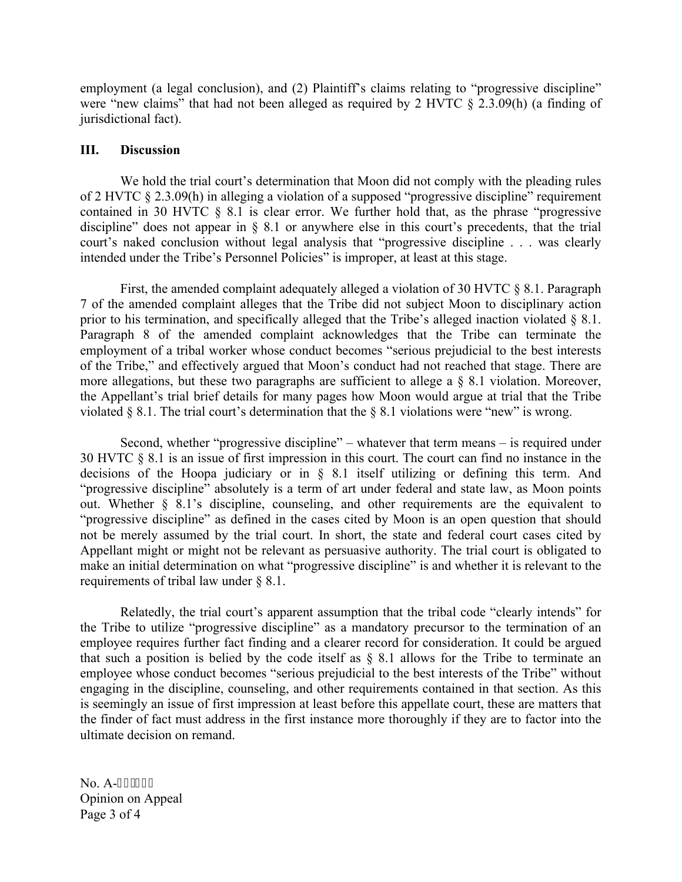employment (a legal conclusion), and (2) Plaintiff's claims relating to "progressive discipline" were "new claims" that had not been alleged as required by 2 HVTC  $\S$  2.3.09(h) (a finding of jurisdictional fact).

### **III. Discussion**

We hold the trial court's determination that Moon did not comply with the pleading rules of 2 HVTC § 2.3.09(h) in alleging a violation of a supposed "progressive discipline" requirement contained in 30 HVTC § 8.1 is clear error. We further hold that, as the phrase "progressive discipline" does not appear in § 8.1 or anywhere else in this court's precedents, that the trial court's naked conclusion without legal analysis that "progressive discipline . . . was clearly intended under the Tribe's Personnel Policies" is improper, at least at this stage.

First, the amended complaint adequately alleged a violation of 30 HVTC § 8.1. Paragraph 7 of the amended complaint alleges that the Tribe did not subject Moon to disciplinary action prior to his termination, and specifically alleged that the Tribe's alleged inaction violated  $\S$  8.1. Paragraph 8 of the amended complaint acknowledges that the Tribe can terminate the employment of a tribal worker whose conduct becomes "serious prejudicial to the best interests of the Tribe," and effectively argued that Moon's conduct had not reached that stage. There are more allegations, but these two paragraphs are sufficient to allege a  $\S$  8.1 violation. Moreover, the Appellant's trial brief details for many pages how Moon would argue at trial that the Tribe violated  $\S 8.1$ . The trial court's determination that the  $\S 8.1$  violations were "new" is wrong.

Second, whether "progressive discipline" – whatever that term means – is required under 30 HVTC § 8.1 is an issue of first impression in this court. The court can find no instance in the decisions of the Hoopa judiciary or in § 8.1 itself utilizing or defining this term. And "progressive discipline" absolutely is a term of art under federal and state law, as Moon points out. Whether § 8.1's discipline, counseling, and other requirements are the equivalent to "progressive discipline" as defined in the cases cited by Moon is an open question that should not be merely assumed by the trial court. In short, the state and federal court cases cited by Appellant might or might not be relevant as persuasive authority. The trial court is obligated to make an initial determination on what "progressive discipline" is and whether it is relevant to the requirements of tribal law under § 8.1.

Relatedly, the trial court's apparent assumption that the tribal code "clearly intends" for the Tribe to utilize "progressive discipline" as a mandatory precursor to the termination of an employee requires further fact finding and a clearer record for consideration. It could be argued that such a position is belied by the code itself as § 8.1 allows for the Tribe to terminate an employee whose conduct becomes "serious prejudicial to the best interests of the Tribe" without engaging in the discipline, counseling, and other requirements contained in that section. As this is seemingly an issue of first impression at least before this appellate court, these are matters that the finder of fact must address in the first instance more thoroughly if they are to factor into the ultimate decision on remand.

No. A-3: /224 Opinion on Appeal Page 3 of 4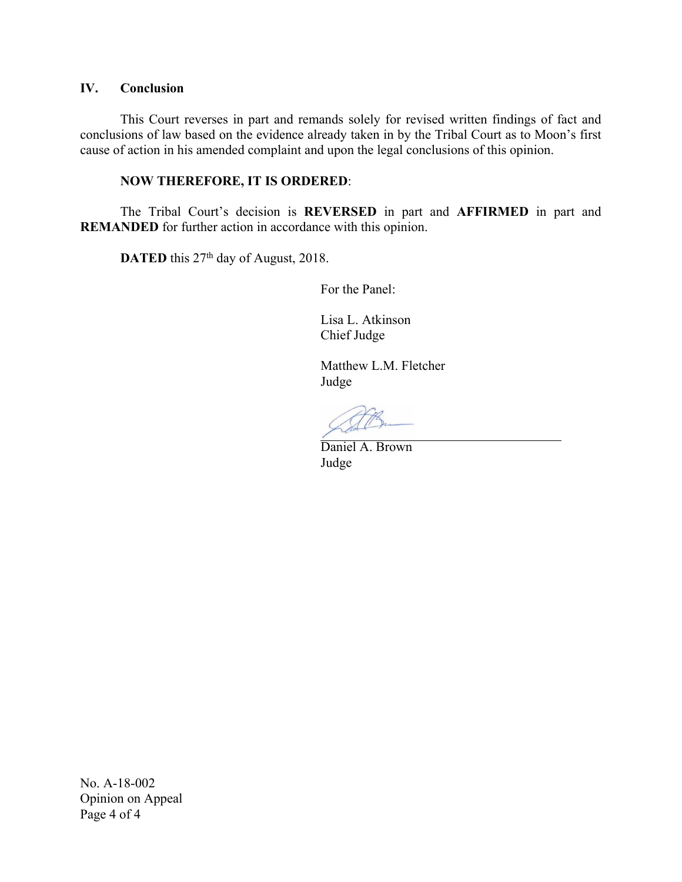## **IV. Conclusion**

This Court reverses in part and remands solely for revised written findings of fact and conclusions of law based on the evidence already taken in by the Tribal Court as to Moon's first cause of action in his amended complaint and upon the legal conclusions of this opinion.

### **NOW THEREFORE, IT IS ORDERED**:

The Tribal Court's decision is **REVERSED** in part and **AFFIRMED** in part and **REMANDED** for further action in accordance with this opinion.

**DATED** this 27<sup>th</sup> day of August, 2018.

For the Panel:

Lisa L. Atkinson Chief Judge

Matthew L.M. Fletcher Judge

Daniel A. Brown Judge

No. A-18-002 Opinion on Appeal Page 4 of 4